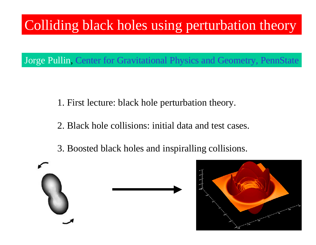## Colliding black holes using perturbation theory

Jorge Pullin, Center for Gravitational Physics and Geometry, PennState

1. First lecture: black hole perturbation theory.

2. Black hole collisions: initial data and test cases.

3. Boosted black holes and inspiralling collisions.



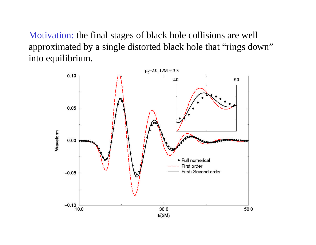Motivation: the final stages of black hole collisions are well approximated by a single distorted black hole that "rings down" into equilibrium.

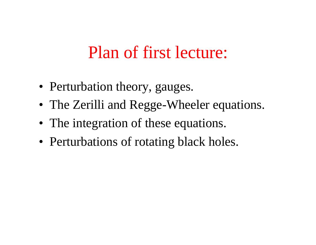# Plan of first lecture:

- Perturbation theory, gauges.
- The Zerilli and Regge-Wheeler equations.
- The integration of these equations.
- Perturbations of rotating black holes.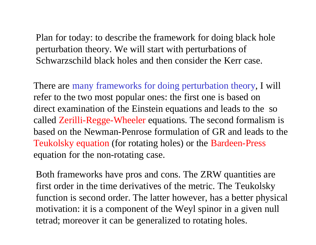Plan for today: to describe the framework for doing black hole perturbation theory. We will start with perturbations of Schwarzschild black holes and then consider the Kerr case.

There are many frameworks for doing perturbation theory, I will refer to the two most popular ones: the first one is based on direct examination of the Einstein equations and leads to the so called Zerilli-Regge-Wheeler equations. The second formalism is based on the Newman-Penrose formulation of GR and leads to the Teukolsky equation (for rotating holes) or the Bardeen-Press equation for the non-rotating case.

Both frameworks have pros and cons. The ZRW quantities are first order in the time derivatives of the metric. The Teukolsky function is second order. The latter however, has a better physical motivation: it is a component of the Weyl spinor in a given null tetrad; moreover it can be generalized to rotating holes.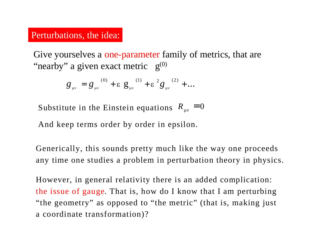#### Perturbations, the idea:

Give yourselves a one-parameter family of metrics, that are "nearby" a given exact metric  $g^{(0)}$ 

$$
g_{\mu\nu} = g_{\mu\nu}^{(0)} + \varepsilon g_{\mu\nu}^{(1)} + \varepsilon^{2} g_{\mu\nu}^{(2)} + ...
$$

Substitute in the Einstein equations  $R_{\mu\nu} = 0$ 

And keep terms order by order in epsilon.

Generically, this sounds pretty much like the way one proceeds any time one studies a problem in perturbation theory in physics.

However, in general relativity there is an added complication: the issue of gauge. That is, how do I know that I am perturbing "the geometry" as opposed to "the metric" (that is, making just a coordinate transformation)?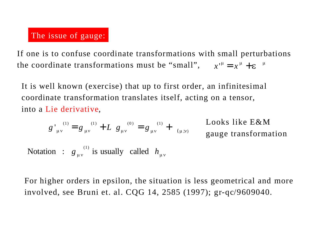#### The issue of gauge:

If one is to confuse coordinate transformations with small perturbations the coordinate transformations must be "small",  $x^{\mu} = x^{\mu} + \varepsilon^{\mu}$ 

It is well known (exercise) that up to first order, an infinitesimal coordinate transformation translates itself, acting on a tensor, into a Lie derivative,

$$
g'_{\mu\nu}^{(1)} = g_{\mu\nu}^{(1)} + L g_{\mu\nu}^{(0)} = g_{\mu\nu}^{(1)} + \frac{\text{Looks like E\&M}}{\text{gauge transformation}}
$$
  
Notation :  $g_{\mu\nu}^{(1)}$  is usually called  $h_{\mu\nu}$ 

For higher orders in epsilon, the situation is less geometrical and more involved, see Bruni et. al. CQG 14, 2585 (1997); gr-qc/9609040.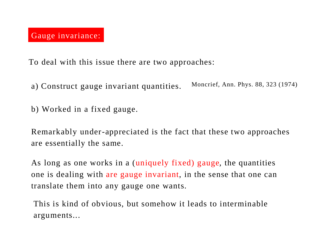To deal with this issue there are two approaches:

- a) Construct gauge invariant quantities. Moncrief, Ann. Phys. 88, 323 (1974)
- b) Worked in a fixed gauge.

Remarkably under-appreciated is the fact that these two approaches are essentially the same.

As long as one works in a (uniquely fixed) gauge, the quantities one is dealing with are gauge invariant, in the sense that one can translate them into any gauge one wants.

This is kind of obvious, but somehow it leads to interminable arguments...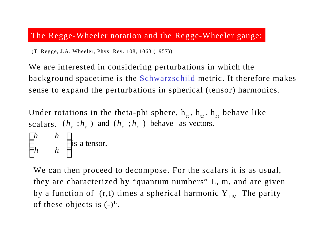#### The Regge-Wheeler notation and the Regge-Wheeler gauge:

(T. Regge, J.A. Wheeler, Phys. Rev. 108, 1063 (1957))

We are interested in considering perturbations in which the background spacetime is the Schwarzschild metric. It therefore makes sense to expand the perturbations in spherical (tensor) harmonics.

Under rotations in the theta-phi sphere,  $h_{tt}$ ,  $h_{tr}$ ,  $h_{rr}$  behave like scalars.  $(h_t; h_t)$  and  $(h_r; h_t)$  behave as vectors. is a tensor.  $\overline{\phantom{a}}$  $\overline{\phantom{a}}$  $\mathbf{I}$   $\setminus$  $\big($ *fq ff h h h h*

We can then proceed to decompose. For the scalars it is as usual, they are characterized by "quantum numbers" L, m, and are given by a function of  $(r,t)$  times a spherical harmonic  $Y_{LM}$ . The parity of these objects is  $(-)^L$ .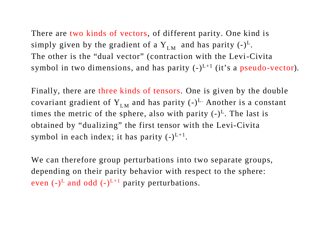There are two kinds of vectors, of different parity. One kind is simply given by the gradient of a  $Y_{LM}$  and has parity  $(-)^L$ . The other is the "dual vector" (contraction with the Levi-Civita symbol in two dimensions, and has parity  $(-)^{L+1}$  (it's a pseudo-vector).

Finally, there are three kinds of tensors. One is given by the double covariant gradient of  $Y_{LM}$  and has parity  $(-)^{L}$ . Another is a constant times the metric of the sphere, also with parity  $(-)^L$ . The last is obtained by "dualizing" the first tensor with the Levi-Civita symbol in each index; it has parity  $(-)^{L+1}$ .

We can therefore group perturbations into two separate groups, depending on their parity behavior with respect to the sphere: even  $(-)^L$  and odd  $(-)^{L+1}$  parity perturbations.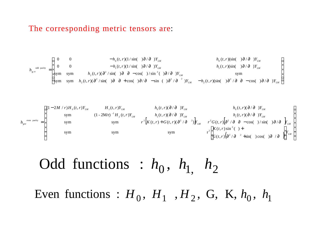#### The corresponding metric tensors are:

$$
h_{\mu\nu}^{\text{odd parity}} = \begin{pmatrix}\n0 & 0 & -h_0(t, r)(1/\sin(-\theta)\partial/\partial)Y_{LM} & h_0(t, r)(\sin(-\theta)\partial/\partial)Y_{LM} \\
0 & 0 & -h_1(t, r)(1/\sin(-\theta)\partial/\partial)Y_{LM} & h_1(t, r)(\sin(-\theta)\partial/\partial)Y_{LM} \\
\text{sym} & \text{sym} & h_2(t, r)(\partial^2/\sin(-\theta)\partial/\partial -\cos(-\theta/\sin^2(-\theta)\partial/\partial)Y_{LM} & \text{sym} \\
\text{sym} & \text{sym} & h_2(t, r)(\partial^2/\sin(-\theta)\partial/\partial -\sin(-\theta)\partial/\partial -\sin(-\theta)\partial^2/\partial -\partial^2)Y_{LM} & -h_2(t, r)(\sin(-\theta)\partial/\partial)\partial/\partial -\cos(-\theta)\partial/\partial)Y_{LM}\n\end{pmatrix}
$$

$$
h_{\mu\nu}^{\text{even pair}} = \begin{pmatrix}\n(1-2M/r)H_0(t,r)Y_{LM} & H_1(t,r)Y_{LM} & h_0(t,r)(\partial/\partial)Y_{LM} & h_0(t,r)(\partial/\partial)Y_{LM} \\
\text{sym} & (1-2Mr)^{-1}H_2(t,r)Y_{LM} & h_1(t,r)(\partial/\partial)Y_{LM} & h_1(t,r)(\partial/\partial)Y_{LM} \\
\text{sym} & \text{sym} & r^2\left[K(t,r)+G(t,r)(\partial^2/\partial)^2\right]X_{LM} & r^2G(t,r)\left[\partial^2/\partial\partial^2-\partial^2-\partial\sigma\right]\left[\frac{1}{2}K(t,r)\right]X_{LM} & \text{sym}\\
\text{sym} & \text{sym} & \text{sym} & r^2\left[K(t,r)(\partial^2/\partial^2-\partial^2)\right]X_{LM} & r^2G(t,r)\left[\frac{1}{2}K(t,r)\sin^2(\theta)+\frac{1}{2}K(t,r)\left[\frac{1}{2}K(t,r)\sin^2(\theta)+\frac{1}{2}K(t,r)\left[\frac{1}{2}K(t,r)\sin^2(\theta)+\frac{1}{2}K(t,r)\right]\right]X_{LM} & \text{sym}\n\end{pmatrix}
$$

Odd functions : 
$$
h_0
$$
,  $h_1$ ,  $h_2$ 

Even functions :  $H_0$ ,  $H_1$ ,  $H_2$ , G, K,  $h_0$ ,  $h_1$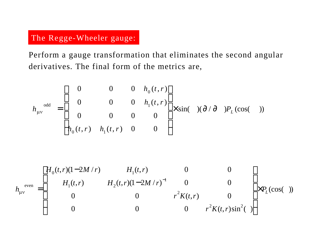## The Regge-Wheeler gauge:

Perform a gauge transformation that eliminates the second angular derivatives. The final form of the metrics are,

$$
h_{\mu\nu}^{\text{odd}} = \begin{bmatrix} 0 & 0 & 0 & h_0(t,r) \\ 0 & 0 & 0 & h_1(t,r) \\ 0 & 0 & 0 & 0 \\ h_0(t,r) & h_1(t,r) & 0 & 0 \end{bmatrix} \times \sin(\theta) (\partial/\partial) P_L(\cos(\theta))
$$

$$
h_{\mu\nu}^{\text{even}} = \begin{bmatrix} H_0(t, r)(1-2M/r) & H_1(t, r) & 0 & 0 \\ H_1(t, r) & H_2(t, r)(1-2M/r)^{-1} & 0 & 0 \\ 0 & 0 & r^2 K(t, r) & 0 \\ 0 & 0 & 0 & r^2 K(t, r) \sin^2(\cdot) \end{bmatrix} \times P_L(\cos(\cdot))
$$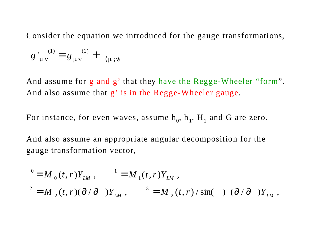Consider the equation we introduced for the gauge transformations,

$$
g'_{\mu\nu}^{(1)} = g_{\mu\nu}^{(1)} + ( \mu ; \nu )
$$

And assume for g and g' that they have the Regge-Wheeler "form". And also assume that g' is in the Regge-Wheeler gauge.

For instance, for even waves, assume  $h_0$ ,  $h_1$ ,  $H_1$  and G are zero.

And also assume an appropriate angular decomposition for the gauge transformation vector,

$$
0 = M_0(t, r)Y_{LM}, \qquad {}^{1} = M_1(t, r)Y_{LM},
$$
  

$$
V^2 = M_2(t, r)(\partial/\partial)Y_{LM}, \qquad V^3 = M_2(t, r)/\sin( ) (\partial/\partial)Y_{LM},
$$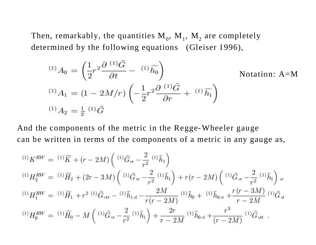Then, remarkably, the quantities  $\mathbf{M}_0^{\vphantom{\dag}}, \, \mathbf{M}_1^{\vphantom{\dag}}, \, \mathbf{M}_2^{\vphantom{\dag}}$  are completely determined by the following equations (Gleiser 1996),

$$
^{(1)}A_0 = \left(\frac{1}{2}r^2\frac{\partial}{\partial t}^{(1)}\tilde{G} - ^{(1)}\tilde{h_0}\right)
$$
Notation: A=M  
\n
$$
^{(1)}A_1 = (1 - 2M/r)\left(-\frac{1}{2}r^2\frac{\partial}{\partial r}^{(1)}\tilde{G} + ^{(1)}\tilde{h_1}\right)
$$
  
\n
$$
^{(1)}A_2 = \frac{1}{2} {}^{(1)}\tilde{G}
$$

And the components of the metric in the Regge-Wheeler gauge can be written in terms of the components of a metric in any gauge as,

$$
\begin{split} ^{(1)}K^{RW} & = \; ^{(1)}\widetilde{K} + (r-2M)\left( \; ^{(1)}\widetilde{G}_{,r} - \frac{2}{r^2}\; ^{(1)}\widetilde{h}_1 \right) \\ ^{(1)}H^{RW}_2 & = \; ^{(1)}\widetilde{H}_2 + (2r-3M)\left( \; ^{(1)}\widetilde{G}_{,r} - \frac{2}{r^2}\; ^{(1)}\widetilde{h}_1 \right) + r\left( r-2M \right)\left( \; ^{(1)}\widetilde{G}_{,r} - \frac{2}{r^2}\; ^{(1)}\widetilde{h}_1 \right),_r \\ ^{(1)}H^{RW}_1 & = \; ^{(1)}\widetilde{H}_1 + r^2\; ^{(1)}\widetilde{G}_{,tr} - \; ^{(1)}\widetilde{h}_{1,t} - \frac{2M}{r\left( r-2M \right)}\; ^{(1)}\widetilde{h}_0 + \; ^{(1)}\widetilde{h}_{0,r} + \frac{r\left( r-3M \right)}{r-2M}\; ^{(1)}\widetilde{G}_{,t} \\ ^{(1)}H^{RW}_0 & = \; ^{(1)}\widetilde{H}_0 - M\left( \; ^{(1)}\widetilde{G}_{,r} - \frac{2}{r^2}\; ^{(1)}\widetilde{h}_1 \right) + \frac{2r}{r-2M}\; ^{(1)}\widetilde{h}_0,_t + \frac{r^3}{(r-2M)}\; ^{(1)}\widetilde{G}_{,tt} \ . \end{split}
$$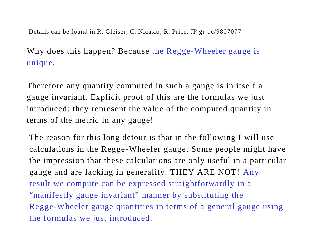Details can be found in R. Gleiser, C. Nicasio, R. Price, JP gr-qc/9807077

Why does this happen? Because the Regge-Wheeler gauge is unique.

Therefore any quantity computed in such a gauge is in itself a gauge invariant. Explicit proof of this are the formulas we just introduced: they represent the value of the computed quantity in terms of the metric in any gauge!

The reason for this long detour is that in the following I will use calculations in the Regge-Wheeler gauge. Some people might have the impression that these calculations are only useful in a particular gauge and are lacking in generality. THEY ARE NOT! Any result we compute can be expressed straightforwardly in a "manifestly gauge invariant" manner by substituting the Regge-Wheeler gauge quantities in terms of a general gauge using the formulas we just introduced.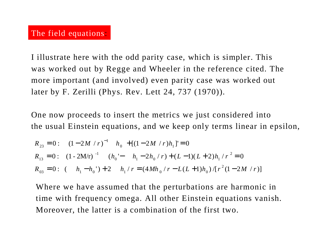I illustrate here with the odd parity case, which is simpler. This was worked out by Regge and Wheeler in the reference cited. The more important (and involved) even parity case was worked out later by F. Zerilli (Phys. Rev. Lett 24, 737 (1970)).

One now proceeds to insert the metrics we just considered into the usual Einstein equations, and we keep only terms linear in epsilon,

$$
R_{23} = 0: (1 - 2M/r)^{-1} h_0 + [(1 - 2M/r)h_1]' = 0
$$
  
\n
$$
R_{13} = 0: (1 - 2M/r)^{-1} (h_0' - h_1 - 2h_0/r) + (L - 1)(L + 2)h_1/r^2 = 0
$$
  
\n
$$
R_{03} = 0: (h_1 - h_0') + 2 h_1/r = (4Mh_0/r - L(L + 1)h_0)/[r^2(1 - 2M/r)]
$$

Where we have assumed that the perturbations are harmonic in time with frequency omega. All other Einstein equations vanish. Moreover, the latter is a combination of the first two.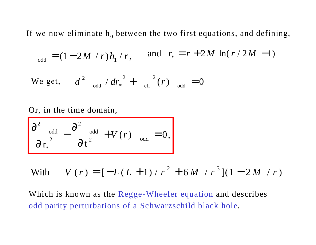If we now eliminate  $h_0$  between the two first equations, and defining,

$$
_{\text{odd}} = (1 - 2M / r)h_1 / r, \quad \text{and} \quad r_* = r + 2M \ln(r / 2M - 1)
$$

We get, 
$$
d^2_{odd} / dr_*^2 + \frac{1}{eff} (r)_{odd} = 0
$$

Or, in the time domain,

$$
\frac{\partial^2}{\partial r_*^2} - \frac{\partial^2}{\partial t^2} + V(r) \quad_{odd} = 0,
$$

With 
$$
V(r) = [-L(L+1)/r^2 + 6M/r^3](1 - 2M/r)
$$

Which is known as the Regge-Wheeler equation and describes odd parity perturbations of a Schwarzschild black hole.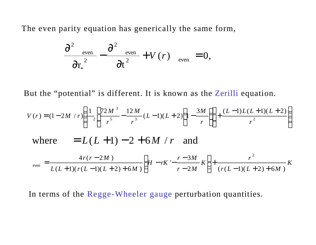The even parity equation has generically the same form,

$$
\frac{\partial^2}{\partial r_*^2} - \frac{\partial^2}{\partial t^2} e^{ve} + V(r) \quad e^{ve} = 0,
$$

But the "potential" is different. It is known as the Zerilli equation.

$$
V(r) = (1 - 2M/r) \left( \frac{1}{r^5} \left[ \frac{72M^3}{r^5} - \frac{12M}{r^3} (L-1)(L+2) \left( 1 - \frac{3M}{r} \right) \right] + \frac{(L-1)L(L+1)(L+2)}{r^2} \right)
$$
  
where 
$$
= L(L+1) - 2 + 6M/r
$$
 and 
$$
\frac{4r(r-2M)}{L(L+1)(r(L-1)(L+2) + 6M)} \left[ H - rK' - \frac{r-3M}{r-2M} K \right] + \frac{r^2}{(r(L-1)(L+2) + 6M)} K
$$

In terms of the Regge-Wheeler gauge perturbation quantities.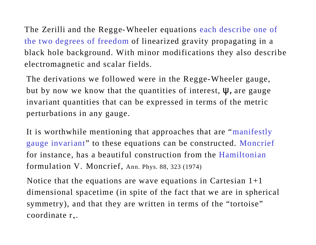The Zerilli and the Regge-Wheeler equations each describe one of the two degrees of freedom of linearized gravity propagating in a black hole background. With minor modifications they also describe electromagnetic and scalar fields.

The derivations we followed were in the Regge-Wheeler gauge, but by now we know that the quantities of interest,  $\Psi$ , are gauge invariant quantities that can be expressed in terms of the metric perturbations in any gauge.

It is worthwhile mentioning that approaches that are "manifestly gauge invariant" to these equations can be constructed. Moncrief for instance, has a beautiful construction from the Hamiltonian formulation V. Moncrief, Ann. Phys. 88, 323 (1974)

Notice that the equations are wave equations in Cartesian  $1+1$ dimensional spacetime (in spite of the fact that we are in spherical symmetry), and that they are written in terms of the "tortoise"  $\text{coordinate } \mathbf{r}_*.$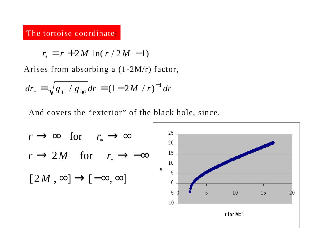#### The tortoise coordinate:

$$
r_* = r + 2M \ln(r/2M - 1)
$$

Arises from absorbing a (1-2M/r) factor,

$$
dr_* = \sqrt{g_{11} / g_{00}} dr = (1 - 2M / r)^{-1} dr
$$

And covers the "exterior" of the black hole, since,

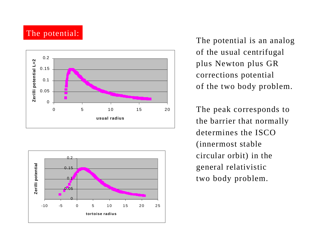#### The potential:





The potential is an analog of the usual centrifugal plus Newton plus GR corrections potential of the two body problem.

The peak corresponds to the barrier that normally determines the ISCO (innermost stable circular orbit) in the general relativistic two body problem.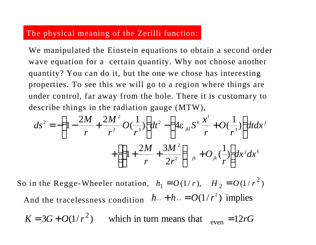#### The physical meaning of the Zerilli function:

We manipulated the Einstein equations to obtain a second order wave equation for a certain quantity. Why not choose another quantity? You can do it, but the one we chose has interesting properties. To see this we will go to a region where things are under control, far away from the hole. There it is customary to describe things in the radiation gauge (MTW),

$$
ds^{2} = -\left(1 - \frac{2M}{r} + \frac{2M^{2}}{r^{2}}O(\frac{1}{r^{3}})\right)dt^{2} - \left(4\varepsilon_{jkl}S^{k}\frac{x^{l}}{r} + O(\frac{1}{r^{3}})\right)dt dx^{j} + \left[\left(1 + \frac{2M}{r} + \frac{3M^{2}}{2r^{2}}\right)_{jk} + O_{jk}(\frac{1}{r})\right]dx^{j}dx^{k}
$$

So in the Regge-Wheeler notation,  $h_1 = O(1/r)$ ,  $H_2 = O(1/r^2)$  $h_1 = O(1/r), \quad H_2 = O(1/r)$ And the tracelessness condition  $h_{\gamma} + h_{\gamma} = O(1/r^2)$  implies

 $K = 3G + O(1/r^2)$  which in turn means that  $_{even} = 12rG$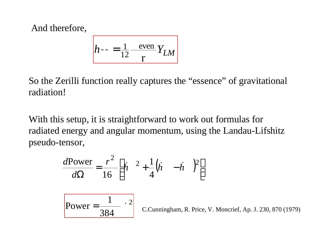And therefore,

$$
h \log \frac{1}{12} \frac{\text{even}}{\text{r}} Y_{LM}
$$

So the Zerilli function really captures the "essence" of gravitational radiation!

With this setup, it is straightforward to work out formulas for radiated energy and angular momentum, using the Landau-Lifshitz pseudo-tensor,

$$
\frac{d\text{Power}}{d\Omega} = \frac{r^2}{16} \left[ \dot{h} \quad ^2 + \frac{1}{4} (\dot{h} \quad - \dot{h} \quad )^2 \right]
$$

$$
Power = \frac{1}{384} \cdot 2
$$

C.Cunningham, R. Price, V. Moncrief, Ap. J. 230, 870 (1979)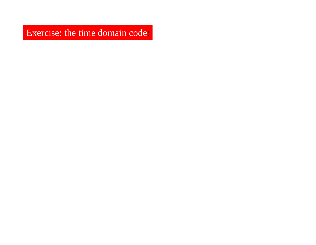Exercise: the time domain code: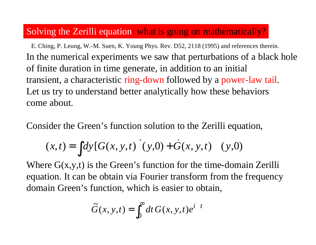## Solving the Zerilli equation: what is going on mathematically?

In the numerical experiments we saw that perturbations of a black hole of finite duration in time generate, in addition to an initial transient, a characteristic ring-down followed by a power-law tail. Let us try to understand better analytically how these behaviors come about. E. Ching, P. Leung, W.-M. Suen, K. Young Phys. Rev. D52, 2118 (1995) and references therein.

Consider the Green's function solution to the Zerilli equation,

$$
(x,t) = \int dy [G(x, y, t) (y,0) + \dot{G}(x, y, t) (y,0)
$$

Where  $G(x, y, t)$  is the Green's function for the time-domain Zerilli equation. It can be obtain via Fourier transform from the frequency domain Green's function, which is easier to obtain,

$$
\widetilde{G}(x, y, t) = \int_0^\infty dt \, G(x, y, t) e^{i t}
$$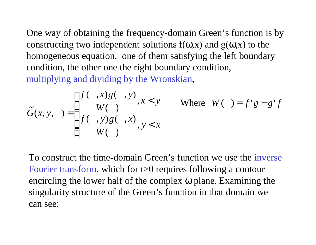One way of obtaining the frequency-domain Green's function is by constructing two independent solutions  $f(\omega, x)$  and  $g(\omega, x)$  to the homogeneous equation, one of them satisfying the left boundary condition, the other one the right boundary condition, multiplying and dividing by the Wronskian,

$$
\tilde{G}(x, y, ) = \begin{cases} \frac{f( , x)g( , y)}{W( , )}, x < y & \text{Where } W( ) = f'g - g'f \\ \frac{f( , y)g( , x)}{W( , )}, y < x \end{cases}
$$

To construct the time-domain Green's function we use the inverse Fourier transform, which for t>0 requires following a contour encircling the lower half of the complex ω plane. Examining the singularity structure of the Green's function in that domain we can see: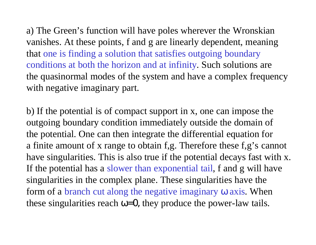a) The Green's function will have poles wherever the Wronskian vanishes. At these points, f and g are linearly dependent, meaning that one is finding a solution that satisfies outgoing boundary conditions at both the horizon and at infinity. Such solutions are the quasinormal modes of the system and have a complex frequency with negative imaginary part.

b) If the potential is of compact support in x, one can impose the outgoing boundary condition immediately outside the domain of the potential. One can then integrate the differential equation for a finite amount of x range to obtain f,g. Therefore these f,g's cannot have singularities. This is also true if the potential decays fast with x. If the potential has a slower than exponential tail, f and g will have singularities in the complex plane. These singularities have the form of a branch cut along the negative imaginary ω axis. When these singularities reach  $\omega = 0$ , they produce the power-law tails.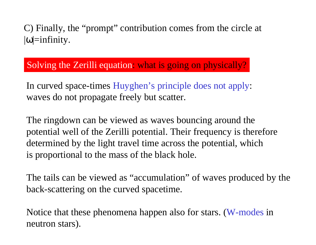C) Finally, the "prompt" contribution comes from the circle at  $|\omega|$ =infinity.

Solving the Zerilli equation: what is going on physically?

In curved space-times Huyghen's principle does not apply: waves do not propagate freely but scatter.

The ringdown can be viewed as waves bouncing around the potential well of the Zerilli potential. Their frequency is therefore determined by the light travel time across the potential, which is proportional to the mass of the black hole.

The tails can be viewed as "accumulation" of waves produced by the back-scattering on the curved spacetime.

Notice that these phenomena happen also for stars. (W-modes in neutron stars).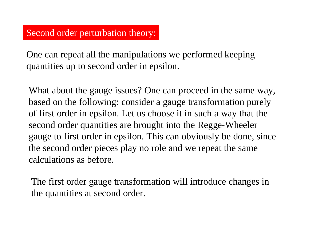One can repeat all the manipulations we performed keeping quantities up to second order in epsilon.

What about the gauge issues? One can proceed in the same way, based on the following: consider a gauge transformation purely of first order in epsilon. Let us choose it in such a way that the second order quantities are brought into the Regge-Wheeler gauge to first order in epsilon. This can obviously be done, since the second order pieces play no role and we repeat the same calculations as before.

The first order gauge transformation will introduce changes in the quantities at second order.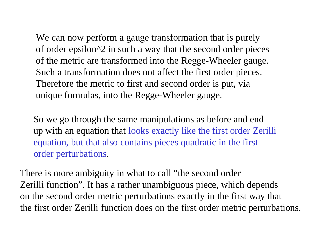We can now perform a gauge transformation that is purely of order epsilon^2 in such a way that the second order pieces of the metric are transformed into the Regge-Wheeler gauge. Such a transformation does not affect the first order pieces. Therefore the metric to first and second order is put, via unique formulas, into the Regge-Wheeler gauge.

So we go through the same manipulations as before and end up with an equation that looks exactly like the first order Zerilli equation, but that also contains pieces quadratic in the first order perturbations.

There is more ambiguity in what to call "the second order Zerilli function". It has a rather unambiguous piece, which depends on the second order metric perturbations exactly in the first way that the first order Zerilli function does on the first order metric perturbations.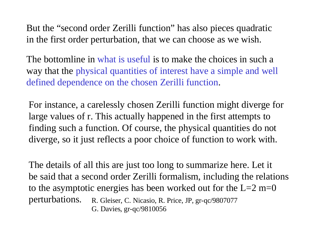But the "second order Zerilli function" has also pieces quadratic in the first order perturbation, that we can choose as we wish.

The bottomline in what is useful is to make the choices in such a way that the physical quantities of interest have a simple and well defined dependence on the chosen Zerilli function.

For instance, a carelessly chosen Zerilli function might diverge for large values of r. This actually happened in the first attempts to finding such a function. Of course, the physical quantities do not diverge, so it just reflects a poor choice of function to work with.

The details of all this are just too long to summarize here. Let it be said that a second order Zerilli formalism, including the relations to the asymptotic energies has been worked out for the  $L=2$  m=0 perturbations. R. Gleiser, C. Nicasio, R. Price, JP, gr-qc/9807077 G. Davies, gr-qc/9810056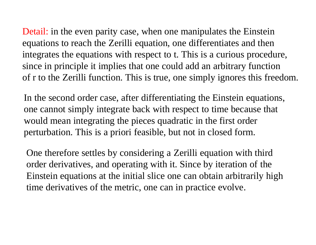Detail: in the even parity case, when one manipulates the Einstein equations to reach the Zerilli equation, one differentiates and then integrates the equations with respect to t. This is a curious procedure, since in principle it implies that one could add an arbitrary function of r to the Zerilli function. This is true, one simply ignores this freedom.

In the second order case, after differentiating the Einstein equations, one cannot simply integrate back with respect to time because that would mean integrating the pieces quadratic in the first order perturbation. This is a priori feasible, but not in closed form.

One therefore settles by considering a Zerilli equation with third order derivatives, and operating with it. Since by iteration of the Einstein equations at the initial slice one can obtain arbitrarily high time derivatives of the metric, one can in practice evolve.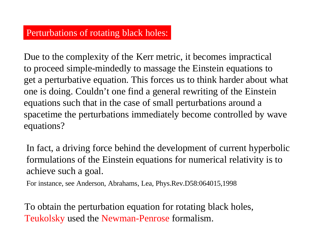## Perturbations of rotating black holes:

Due to the complexity of the Kerr metric, it becomes impractical to proceed simple-mindedly to massage the Einstein equations to get a perturbative equation. This forces us to think harder about what one is doing. Couldn't one find a general rewriting of the Einstein equations such that in the case of small perturbations around a spacetime the perturbations immediately become controlled by wave equations?

In fact, a driving force behind the development of current hyperbolic formulations of the Einstein equations for numerical relativity is to achieve such a goal.

For instance, see Anderson, Abrahams, Lea, Phys.Rev.D58:064015,1998

To obtain the perturbation equation for rotating black holes, Teukolsky used the Newman-Penrose formalism.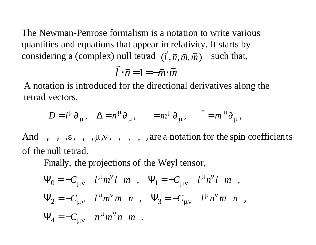The Newman-Penrose formalism is a notation to write various quantities and equations that appear in relativity. It starts by considering a (complex) null tetrad  $(\vec{l}, \vec{n}, \vec{m}, \vec{\overline{m}})$  such that,  $\vec{l}$  relativi

$$
\vec{l} \cdot \vec{n} = 1 = -\vec{m} \cdot \vec{m}
$$

A notation is introduced for the directional derivatives along the tetrad vectors,

$$
D = l^{\mu} \partial_{\mu}, \quad \Delta = n^{\mu} \partial_{\mu}, \qquad = m^{\mu} \partial_{\mu}, \qquad^* = \overline{m}^{\mu} \partial_{\mu},
$$

of the null tetrad. And , , , $\varepsilon$ , , ,  $\mu$ ,  $\nu$ , , , , are a notation for the spin coefficients

Finally, the projections of the Weyl tensor,

$$
\Psi_0 = -C_{\mu\nu} \t l^{\mu} m^{\nu} l \ m \ , \ \Psi_1 = -C_{\mu\nu} \t l^{\mu} n^{\nu} l \ m \ ,
$$
  
\n
$$
\Psi_2 = -C_{\mu\nu} \t l^{\mu} m^{\nu} \overline{m} \ n \ , \ \Psi_3 = -C_{\mu\nu} \t l^{\mu} n^{\nu} \overline{m} \ n \ ,
$$
  
\n
$$
\Psi_4 = -C_{\mu\nu} \ n^{\mu} \overline{m}^{\nu} n \ m \ .
$$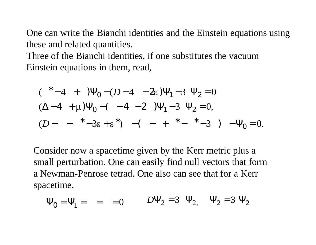One can write the Bianchi identities and the Einstein equations using these and related quantities.

Three of the Bianchi identities, if one substitutes the vacuum Einstein equations in them, read,

$$
(* -4 + )\Psi_0 - (D-4 - 2\varepsilon)\Psi_1 - 3 \Psi_2 = 0
$$
  

$$
(\Delta - 4 + \mu)\Psi_0 - (-4 - 2) \Psi_1 - 3 \Psi_2 = 0,
$$
  

$$
(D - *3\varepsilon + \varepsilon^*) - (- + * - *3) - \Psi_0 = 0.
$$

Consider now a spacetime given by the Kerr metric plus a small perturbation. One can easily find null vectors that form a Newman-Penrose tetrad. One also can see that for a Kerr spacetime,

$$
\Psi_0 = \Psi_1 = \Psi_2 = 0
$$
\n $D\Psi_2 = 3 \Psi_2, \Psi_2 = 3 \Psi_2$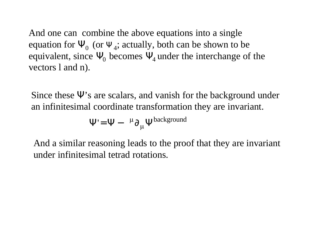And one can combine the above equations into a single equation for  $\Psi_0$  (or  $\Psi_4$ ; actually, both can be shown to be equivalent, since  $\Psi_0$  becomes  $\Psi_4$  under the interchange of the vectors l and n).

Since these  $\Psi$ 's are scalars, and vanish for the background under an infinitesimal coordinate transformation they are invariant.

$$
\Psi' = \Psi - \mu \partial_{\mu} \Psi^{background}
$$

And a similar reasoning leads to the proof that they are invariant under infinitesimal tetrad rotations.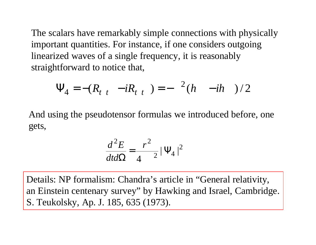The scalars have remarkably simple connections with physically important quantities. For instance, if one considers outgoing linearized waves of a single frequency, it is reasonably straightforward to notice that,

$$
\Psi_4 = -(R_{t \ t} - iR_{t \ t}) = - \frac{2}{h} - i\hbar \t)/2
$$

And using the pseudotensor formulas we introduced before, one gets,

$$
\frac{d^2E}{dt d\Omega} = \frac{r^2}{4} |\Psi_4|^2
$$

Details: NP formalism: Chandra's article in "General relativity, an Einstein centenary survey" by Hawking and Israel, Cambridge. S. Teukolsky, Ap. J. 185, 635 (1973).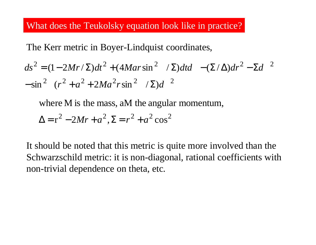## What does the Teukolsky equation look like in practice?

The Kerr metric in Boyer-Lindquist coordinates,

$$
ds^{2} = (1 - 2Mr/\Sigma)dt^{2} + (4Mar\sin^{2}/\Sigma)dt d - (\Sigma/\Delta)dr^{2} - \Sigma d^{2}
$$
  
- sin<sup>2</sup>  $(r^{2} + a^{2} + 2Ma^{2}r\sin^{2}/\Sigma)d^{2}$ 

where M is the mass, aM the angular momentum,

$$
\Delta = r^2 - 2Mr + a^2, \Sigma = r^2 + a^2 \cos^2
$$

It should be noted that this metric is quite more involved than the Schwarzschild metric: it is non-diagonal, rational coefficients with non-trivial dependence on theta, etc.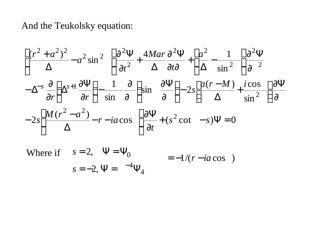And the Teukolsky equation:

$$
\left[\frac{(r^2 + a^2)^2}{\Delta} - a^2 \sin^2 \left[\frac{\partial^2 \Psi}{\partial t^2} + \frac{4Mar}{\Delta} \frac{\partial^2 \Psi}{\partial t \partial t} + \left[\frac{a^2}{\Delta} - \frac{1}{\sin^2} \right] \frac{\partial^2 \Psi}{\partial t^2} - \Delta^{-s} \frac{\partial}{\partial r} \left(\Delta^{s+1} \frac{\partial \Psi}{\partial r}\right) - \frac{1}{\sin \theta} \frac{\partial}{\partial r} \left(\sin \frac{\partial \Psi}{\partial r}\right) - 2s \left[\frac{a(r-M)}{\Delta} + \frac{i \cos \theta}{\sin^2 \theta} \right] \frac{\partial \Psi}{\partial t} - 2s \left[\frac{M(r^2 - a^2)}{\Delta} - r - i a \cos \theta \right] \frac{\partial \Psi}{\partial t} + (s^2 \cot \theta - s) \Psi = 0
$$

Where if 
$$
s = 2
$$
,  $\Psi = \Psi_0$   
\n $s = -2$ ,  $\Psi = \frac{-4}{4}\Psi_4$   $= -1/(r - i a \cos)$